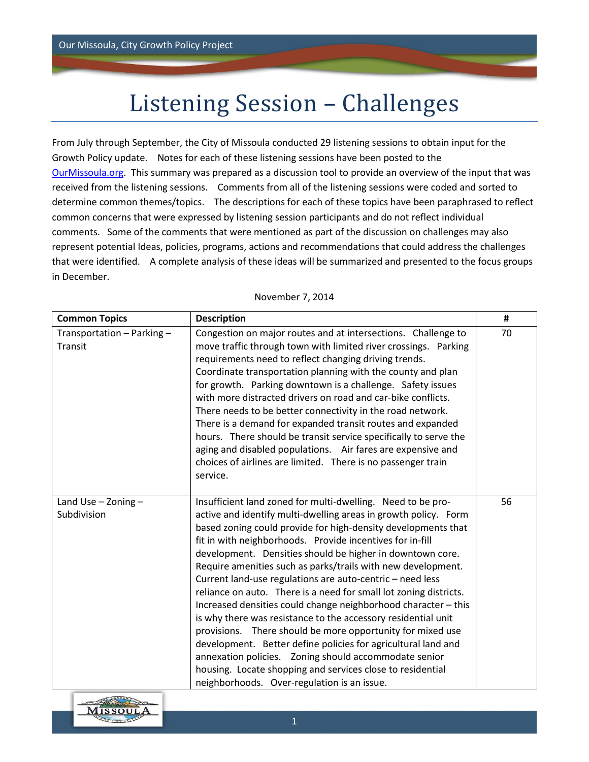## Listening Session – Challenges

From July through September, the City of Missoula conducted 29 listening sessions to obtain input for the Growth Policy update. Notes for each of these listening sessions have been posted to the [OurMissoula.org.](file:///C:/Users/Kate/Desktop/AC%20Jobs/Missoula/Focus%20Group/ourmissoula.org) This summary was prepared as a discussion tool to provide an overview of the input that was received from the listening sessions. Comments from all of the listening sessions were coded and sorted to determine common themes/topics. The descriptions for each of these topics have been paraphrased to reflect common concerns that were expressed by listening session participants and do not reflect individual comments. Some of the comments that were mentioned as part of the discussion on challenges may also represent potential Ideas, policies, programs, actions and recommendations that could address the challenges that were identified. A complete analysis of these ideas will be summarized and presented to the focus groups in December.

| <b>Common Topics</b>                   | <b>Description</b>                                                                                                                                                                                                                                                                                                                                                                                                                                                                                                                                                                                                                                                                                                                                                                                                                                                                                                                                                  | $\#$ |
|----------------------------------------|---------------------------------------------------------------------------------------------------------------------------------------------------------------------------------------------------------------------------------------------------------------------------------------------------------------------------------------------------------------------------------------------------------------------------------------------------------------------------------------------------------------------------------------------------------------------------------------------------------------------------------------------------------------------------------------------------------------------------------------------------------------------------------------------------------------------------------------------------------------------------------------------------------------------------------------------------------------------|------|
| Transportation - Parking -<br>Transit  | Congestion on major routes and at intersections. Challenge to<br>move traffic through town with limited river crossings. Parking<br>requirements need to reflect changing driving trends.<br>Coordinate transportation planning with the county and plan<br>for growth. Parking downtown is a challenge. Safety issues<br>with more distracted drivers on road and car-bike conflicts.<br>There needs to be better connectivity in the road network.<br>There is a demand for expanded transit routes and expanded<br>hours. There should be transit service specifically to serve the<br>aging and disabled populations. Air fares are expensive and<br>choices of airlines are limited. There is no passenger train<br>service.                                                                                                                                                                                                                                   | 70   |
| Land Use $-$ Zoning $-$<br>Subdivision | Insufficient land zoned for multi-dwelling. Need to be pro-<br>active and identify multi-dwelling areas in growth policy. Form<br>based zoning could provide for high-density developments that<br>fit in with neighborhoods. Provide incentives for in-fill<br>development. Densities should be higher in downtown core.<br>Require amenities such as parks/trails with new development.<br>Current land-use regulations are auto-centric - need less<br>reliance on auto. There is a need for small lot zoning districts.<br>Increased densities could change neighborhood character - this<br>is why there was resistance to the accessory residential unit<br>provisions. There should be more opportunity for mixed use<br>development. Better define policies for agricultural land and<br>annexation policies. Zoning should accommodate senior<br>housing. Locate shopping and services close to residential<br>neighborhoods. Over-regulation is an issue. | 56   |

November 7, 2014

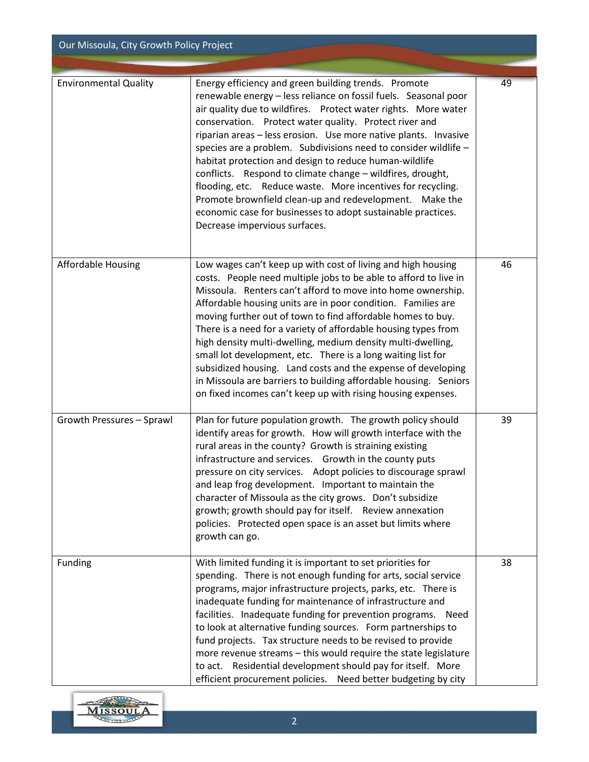| Our Missoula, City Growth Policy Project |                                                                                                                                                                                                                                                                                                                                                                                                                                                                                                                                                                                                                                                                                                                                     |    |  |
|------------------------------------------|-------------------------------------------------------------------------------------------------------------------------------------------------------------------------------------------------------------------------------------------------------------------------------------------------------------------------------------------------------------------------------------------------------------------------------------------------------------------------------------------------------------------------------------------------------------------------------------------------------------------------------------------------------------------------------------------------------------------------------------|----|--|
| <b>Environmental Quality</b>             | Energy efficiency and green building trends. Promote<br>renewable energy - less reliance on fossil fuels. Seasonal poor                                                                                                                                                                                                                                                                                                                                                                                                                                                                                                                                                                                                             | 49 |  |
|                                          | air quality due to wildfires. Protect water rights. More water<br>conservation. Protect water quality. Protect river and<br>riparian areas - less erosion. Use more native plants. Invasive<br>species are a problem. Subdivisions need to consider wildlife -<br>habitat protection and design to reduce human-wildlife<br>conflicts. Respond to climate change - wildfires, drought,<br>flooding, etc. Reduce waste. More incentives for recycling.<br>Promote brownfield clean-up and redevelopment. Make the<br>economic case for businesses to adopt sustainable practices.<br>Decrease impervious surfaces.                                                                                                                   |    |  |
| <b>Affordable Housing</b>                | Low wages can't keep up with cost of living and high housing<br>costs. People need multiple jobs to be able to afford to live in<br>Missoula. Renters can't afford to move into home ownership.<br>Affordable housing units are in poor condition. Families are<br>moving further out of town to find affordable homes to buy.<br>There is a need for a variety of affordable housing types from<br>high density multi-dwelling, medium density multi-dwelling,<br>small lot development, etc. There is a long waiting list for<br>subsidized housing. Land costs and the expense of developing<br>in Missoula are barriers to building affordable housing. Seniors<br>on fixed incomes can't keep up with rising housing expenses. | 46 |  |
| Growth Pressures - Sprawl                | Plan for future population growth. The growth policy should<br>identify areas for growth. How will growth interface with the<br>rural areas in the county? Growth is straining existing<br>infrastructure and services. Growth in the county puts<br>pressure on city services. Adopt policies to discourage sprawl<br>and leap frog development. Important to maintain the<br>character of Missoula as the city grows. Don't subsidize<br>growth; growth should pay for itself. Review annexation<br>policies. Protected open space is an asset but limits where<br>growth can go.                                                                                                                                                 | 39 |  |
| Funding                                  | With limited funding it is important to set priorities for<br>spending. There is not enough funding for arts, social service<br>programs, major infrastructure projects, parks, etc. There is<br>inadequate funding for maintenance of infrastructure and<br>facilities. Inadequate funding for prevention programs. Need<br>to look at alternative funding sources. Form partnerships to<br>fund projects. Tax structure needs to be revised to provide<br>more revenue streams - this would require the state legislature<br>to act. Residential development should pay for itself. More<br>efficient procurement policies. Need better budgeting by city                                                                         | 38 |  |

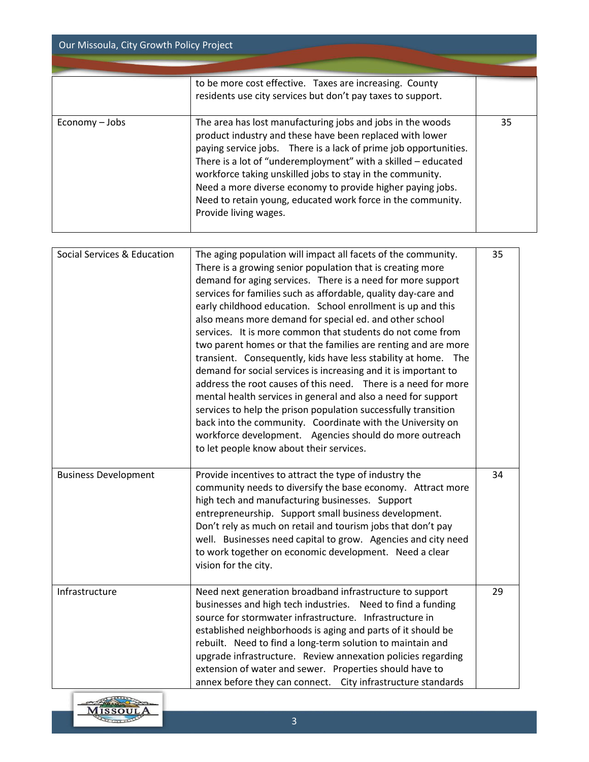| Our Missoula, City Growth Policy Project |                                                                                                                                                                                                                                                                                                                                                                                                                                                                                                                                                                                                                                                                                                                                                                                                                                                                                                                                                                                                                                       |    |
|------------------------------------------|---------------------------------------------------------------------------------------------------------------------------------------------------------------------------------------------------------------------------------------------------------------------------------------------------------------------------------------------------------------------------------------------------------------------------------------------------------------------------------------------------------------------------------------------------------------------------------------------------------------------------------------------------------------------------------------------------------------------------------------------------------------------------------------------------------------------------------------------------------------------------------------------------------------------------------------------------------------------------------------------------------------------------------------|----|
|                                          |                                                                                                                                                                                                                                                                                                                                                                                                                                                                                                                                                                                                                                                                                                                                                                                                                                                                                                                                                                                                                                       |    |
|                                          | to be more cost effective. Taxes are increasing. County<br>residents use city services but don't pay taxes to support.                                                                                                                                                                                                                                                                                                                                                                                                                                                                                                                                                                                                                                                                                                                                                                                                                                                                                                                |    |
| Economy - Jobs                           | The area has lost manufacturing jobs and jobs in the woods<br>product industry and these have been replaced with lower<br>paying service jobs. There is a lack of prime job opportunities.<br>There is a lot of "underemployment" with a skilled - educated<br>workforce taking unskilled jobs to stay in the community.<br>Need a more diverse economy to provide higher paying jobs.<br>Need to retain young, educated work force in the community.<br>Provide living wages.                                                                                                                                                                                                                                                                                                                                                                                                                                                                                                                                                        | 35 |
| Social Services & Education              | The aging population will impact all facets of the community.<br>There is a growing senior population that is creating more<br>demand for aging services. There is a need for more support<br>services for families such as affordable, quality day-care and<br>early childhood education. School enrollment is up and this<br>also means more demand for special ed. and other school<br>services. It is more common that students do not come from<br>two parent homes or that the families are renting and are more<br>transient. Consequently, kids have less stability at home. The<br>demand for social services is increasing and it is important to<br>address the root causes of this need. There is a need for more<br>mental health services in general and also a need for support<br>services to help the prison population successfully transition<br>back into the community. Coordinate with the University on<br>workforce development. Agencies should do more outreach<br>to let people know about their services. | 35 |
| <b>Business Development</b>              | Provide incentives to attract the type of industry the<br>community needs to diversify the base economy. Attract more<br>high tech and manufacturing businesses. Support<br>entrepreneurship. Support small business development.<br>Don't rely as much on retail and tourism jobs that don't pay<br>well. Businesses need capital to grow. Agencies and city need<br>to work together on economic development. Need a clear<br>vision for the city.                                                                                                                                                                                                                                                                                                                                                                                                                                                                                                                                                                                  | 34 |
| Infrastructure                           | Need next generation broadband infrastructure to support<br>businesses and high tech industries. Need to find a funding<br>source for stormwater infrastructure. Infrastructure in<br>established neighborhoods is aging and parts of it should be<br>rebuilt. Need to find a long-term solution to maintain and<br>upgrade infrastructure. Review annexation policies regarding<br>extension of water and sewer. Properties should have to<br>annex before they can connect. City infrastructure standards                                                                                                                                                                                                                                                                                                                                                                                                                                                                                                                           | 29 |

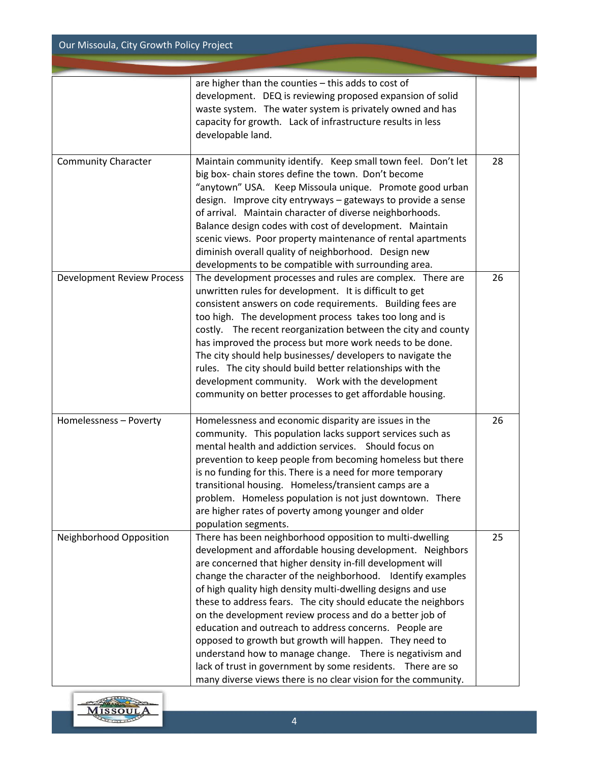Our Missoula, City Growth Policy Project

|                                   | are higher than the counties - this adds to cost of<br>development. DEQ is reviewing proposed expansion of solid<br>waste system. The water system is privately owned and has<br>capacity for growth. Lack of infrastructure results in less<br>developable land.                                                                                                                                                                                                                                                                                                                                                                                                                                                                                                |    |
|-----------------------------------|------------------------------------------------------------------------------------------------------------------------------------------------------------------------------------------------------------------------------------------------------------------------------------------------------------------------------------------------------------------------------------------------------------------------------------------------------------------------------------------------------------------------------------------------------------------------------------------------------------------------------------------------------------------------------------------------------------------------------------------------------------------|----|
| <b>Community Character</b>        | Maintain community identify. Keep small town feel. Don't let<br>big box- chain stores define the town. Don't become<br>"anytown" USA. Keep Missoula unique. Promote good urban<br>design. Improve city entryways - gateways to provide a sense<br>of arrival. Maintain character of diverse neighborhoods.<br>Balance design codes with cost of development. Maintain<br>scenic views. Poor property maintenance of rental apartments<br>diminish overall quality of neighborhood. Design new<br>developments to be compatible with surrounding area.                                                                                                                                                                                                            | 28 |
| <b>Development Review Process</b> | The development processes and rules are complex. There are<br>unwritten rules for development. It is difficult to get<br>consistent answers on code requirements. Building fees are<br>too high. The development process takes too long and is<br>costly. The recent reorganization between the city and county<br>has improved the process but more work needs to be done.<br>The city should help businesses/ developers to navigate the<br>rules. The city should build better relationships with the<br>development community.  Work with the development<br>community on better processes to get affordable housing.                                                                                                                                        | 26 |
| Homelessness - Poverty            | Homelessness and economic disparity are issues in the<br>community. This population lacks support services such as<br>mental health and addiction services. Should focus on<br>prevention to keep people from becoming homeless but there<br>is no funding for this. There is a need for more temporary<br>transitional housing. Homeless/transient camps are a<br>problem. Homeless population is not just downtown. There<br>are higher rates of poverty among younger and older<br>population segments.                                                                                                                                                                                                                                                       | 26 |
| Neighborhood Opposition           | There has been neighborhood opposition to multi-dwelling<br>development and affordable housing development. Neighbors<br>are concerned that higher density in-fill development will<br>change the character of the neighborhood. Identify examples<br>of high quality high density multi-dwelling designs and use<br>these to address fears. The city should educate the neighbors<br>on the development review process and do a better job of<br>education and outreach to address concerns. People are<br>opposed to growth but growth will happen. They need to<br>understand how to manage change. There is negativism and<br>lack of trust in government by some residents.  There are so<br>many diverse views there is no clear vision for the community. | 25 |

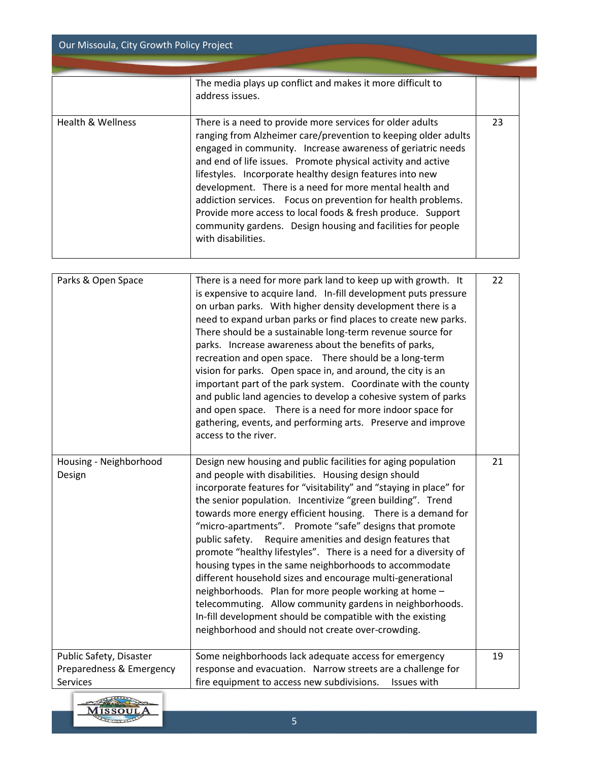| Our Missoula, City Growth Policy Project |                                                                                                                                                                                                                                                                                                                                                                                                                                                                                                                                                                                                       |    |
|------------------------------------------|-------------------------------------------------------------------------------------------------------------------------------------------------------------------------------------------------------------------------------------------------------------------------------------------------------------------------------------------------------------------------------------------------------------------------------------------------------------------------------------------------------------------------------------------------------------------------------------------------------|----|
|                                          | The media plays up conflict and makes it more difficult to<br>address issues.                                                                                                                                                                                                                                                                                                                                                                                                                                                                                                                         |    |
| Health & Wellness                        | There is a need to provide more services for older adults<br>ranging from Alzheimer care/prevention to keeping older adults<br>engaged in community. Increase awareness of geriatric needs<br>and end of life issues. Promote physical activity and active<br>lifestyles. Incorporate healthy design features into new<br>development. There is a need for more mental health and<br>addiction services. Focus on prevention for health problems.<br>Provide more access to local foods & fresh produce. Support<br>community gardens. Design housing and facilities for people<br>with disabilities. | 23 |

| Parks & Open Space                                  | There is a need for more park land to keep up with growth. It<br>is expensive to acquire land. In-fill development puts pressure<br>on urban parks. With higher density development there is a<br>need to expand urban parks or find places to create new parks.<br>There should be a sustainable long-term revenue source for<br>parks. Increase awareness about the benefits of parks,<br>recreation and open space. There should be a long-term<br>vision for parks. Open space in, and around, the city is an<br>important part of the park system. Coordinate with the county<br>and public land agencies to develop a cohesive system of parks<br>and open space. There is a need for more indoor space for<br>gathering, events, and performing arts. Preserve and improve<br>access to the river.                                                                               | 22 |
|-----------------------------------------------------|-----------------------------------------------------------------------------------------------------------------------------------------------------------------------------------------------------------------------------------------------------------------------------------------------------------------------------------------------------------------------------------------------------------------------------------------------------------------------------------------------------------------------------------------------------------------------------------------------------------------------------------------------------------------------------------------------------------------------------------------------------------------------------------------------------------------------------------------------------------------------------------------|----|
| Housing - Neighborhood<br>Design                    | Design new housing and public facilities for aging population<br>and people with disabilities. Housing design should<br>incorporate features for "visitability" and "staying in place" for<br>the senior population. Incentivize "green building". Trend<br>towards more energy efficient housing. There is a demand for<br>"micro-apartments". Promote "safe" designs that promote<br>Require amenities and design features that<br>public safety.<br>promote "healthy lifestyles". There is a need for a diversity of<br>housing types in the same neighborhoods to accommodate<br>different household sizes and encourage multi-generational<br>neighborhoods. Plan for more people working at home -<br>telecommuting. Allow community gardens in neighborhoods.<br>In-fill development should be compatible with the existing<br>neighborhood and should not create over-crowding. | 21 |
| Public Safety, Disaster<br>Preparedness & Emergency | Some neighborhoods lack adequate access for emergency<br>response and evacuation. Narrow streets are a challenge for                                                                                                                                                                                                                                                                                                                                                                                                                                                                                                                                                                                                                                                                                                                                                                    | 19 |
| <b>Services</b>                                     | fire equipment to access new subdivisions.<br>Issues with                                                                                                                                                                                                                                                                                                                                                                                                                                                                                                                                                                                                                                                                                                                                                                                                                               |    |

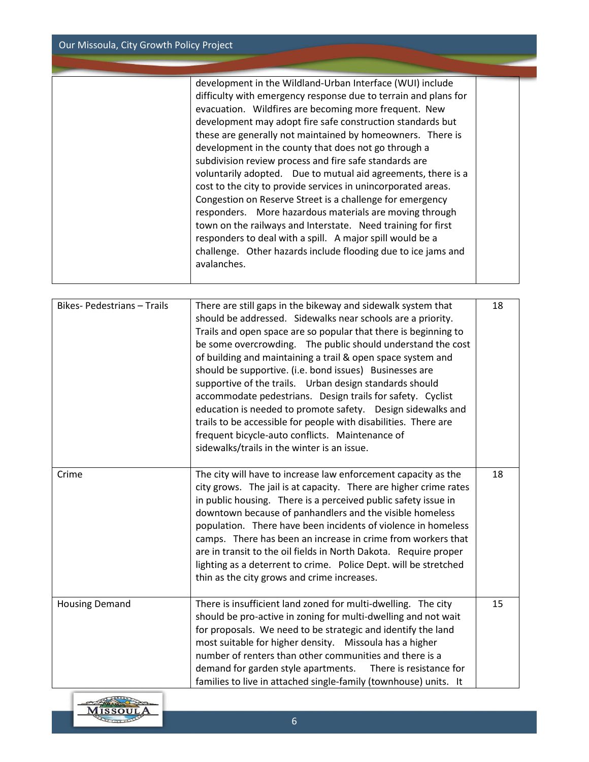Our Missoula, City Growth Policy Project

| development in the Wildland-Urban Interface (WUI) include<br>difficulty with emergency response due to terrain and plans for<br>evacuation. Wildfires are becoming more frequent. New<br>development may adopt fire safe construction standards but<br>these are generally not maintained by homeowners. There is<br>development in the county that does not go through a<br>subdivision review process and fire safe standards are<br>voluntarily adopted. Due to mutual aid agreements, there is a<br>cost to the city to provide services in unincorporated areas.<br>Congestion on Reserve Street is a challenge for emergency<br>responders. More hazardous materials are moving through<br>town on the railways and Interstate. Need training for first<br>responders to deal with a spill. A major spill would be a<br>challenge. Other hazards include flooding due to ice jams and |  |
|---------------------------------------------------------------------------------------------------------------------------------------------------------------------------------------------------------------------------------------------------------------------------------------------------------------------------------------------------------------------------------------------------------------------------------------------------------------------------------------------------------------------------------------------------------------------------------------------------------------------------------------------------------------------------------------------------------------------------------------------------------------------------------------------------------------------------------------------------------------------------------------------|--|
| avalanches.                                                                                                                                                                                                                                                                                                                                                                                                                                                                                                                                                                                                                                                                                                                                                                                                                                                                                 |  |

| Bikes-Pedestrians - Trails | There are still gaps in the bikeway and sidewalk system that<br>should be addressed. Sidewalks near schools are a priority.<br>Trails and open space are so popular that there is beginning to<br>be some overcrowding. The public should understand the cost<br>of building and maintaining a trail & open space system and<br>should be supportive. (i.e. bond issues) Businesses are<br>supportive of the trails. Urban design standards should<br>accommodate pedestrians. Design trails for safety. Cyclist<br>education is needed to promote safety.  Design sidewalks and<br>trails to be accessible for people with disabilities. There are<br>frequent bicycle-auto conflicts. Maintenance of<br>sidewalks/trails in the winter is an issue. | 18 |
|----------------------------|-------------------------------------------------------------------------------------------------------------------------------------------------------------------------------------------------------------------------------------------------------------------------------------------------------------------------------------------------------------------------------------------------------------------------------------------------------------------------------------------------------------------------------------------------------------------------------------------------------------------------------------------------------------------------------------------------------------------------------------------------------|----|
| Crime                      | The city will have to increase law enforcement capacity as the<br>city grows. The jail is at capacity. There are higher crime rates<br>in public housing. There is a perceived public safety issue in<br>downtown because of panhandlers and the visible homeless<br>population. There have been incidents of violence in homeless<br>camps. There has been an increase in crime from workers that<br>are in transit to the oil fields in North Dakota. Require proper<br>lighting as a deterrent to crime. Police Dept. will be stretched<br>thin as the city grows and crime increases.                                                                                                                                                             | 18 |
| <b>Housing Demand</b>      | There is insufficient land zoned for multi-dwelling. The city<br>should be pro-active in zoning for multi-dwelling and not wait<br>for proposals. We need to be strategic and identify the land<br>most suitable for higher density. Missoula has a higher<br>number of renters than other communities and there is a<br>demand for garden style apartments.<br>There is resistance for<br>families to live in attached single-family (townhouse) units. It                                                                                                                                                                                                                                                                                           | 15 |